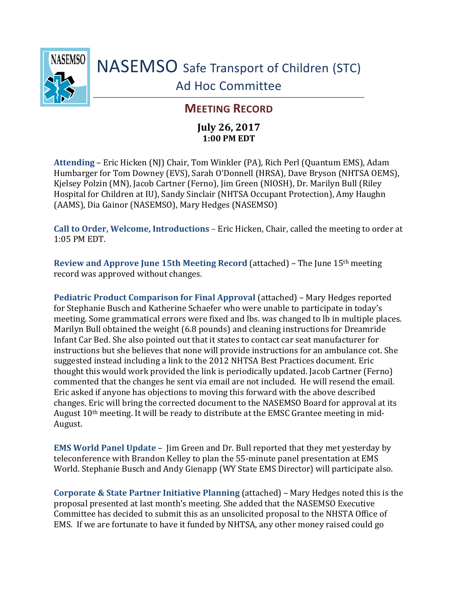

## **MEETING RECORD**

## **July 26, 2017 1:00 PM EDT**

**Attending** – Eric Hicken (NJ) Chair, Tom Winkler (PA), Rich Perl (Quantum EMS), Adam Humbarger for Tom Downey (EVS), Sarah O'Donnell (HRSA), Dave Bryson (NHTSA OEMS), Kjelsey Polzin (MN), Jacob Cartner (Ferno), Jim Green (NIOSH), Dr. Marilyn Bull (Riley Hospital for Children at IU), Sandy Sinclair (NHTSA Occupant Protection), Amy Haughn (AAMS), Dia Gainor (NASEMSO), Mary Hedges (NASEMSO)

**Call to Order, Welcome, Introductions** – Eric Hicken, Chair, called the meeting to order at 1:05 PM EDT.

**Review and Approve June 15th Meeting Record** (attached) – The June 15th meeting record was approved without changes.

**Pediatric Product Comparison for Final Approval** (attached) – Mary Hedges reported for Stephanie Busch and Katherine Schaefer who were unable to participate in today's meeting. Some grammatical errors were fixed and lbs. was changed to lb in multiple places. Marilyn Bull obtained the weight (6.8 pounds) and cleaning instructions for Dreamride Infant Car Bed. She also pointed out that it states to contact car seat manufacturer for instructions but she believes that none will provide instructions for an ambulance cot. She suggested instead including a link to the 2012 NHTSA Best Practices document. Eric thought this would work provided the link is periodically updated. Jacob Cartner (Ferno) commented that the changes he sent via email are not included. He will resend the email. Eric asked if anyone has objections to moving this forward with the above described changes. Eric will bring the corrected document to the NASEMSO Board for approval at its August 10th meeting. It will be ready to distribute at the EMSC Grantee meeting in mid-August.

**EMS World Panel Update** – Jim Green and Dr. Bull reported that they met yesterday by teleconference with Brandon Kelley to plan the 55-minute panel presentation at EMS World. Stephanie Busch and Andy Gienapp (WY State EMS Director) will participate also.

**Corporate & State Partner Initiative Planning** (attached) – Mary Hedges noted this is the proposal presented at last month's meeting. She added that the NASEMSO Executive Committee has decided to submit this as an unsolicited proposal to the NHSTA Office of EMS. If we are fortunate to have it funded by NHTSA, any other money raised could go